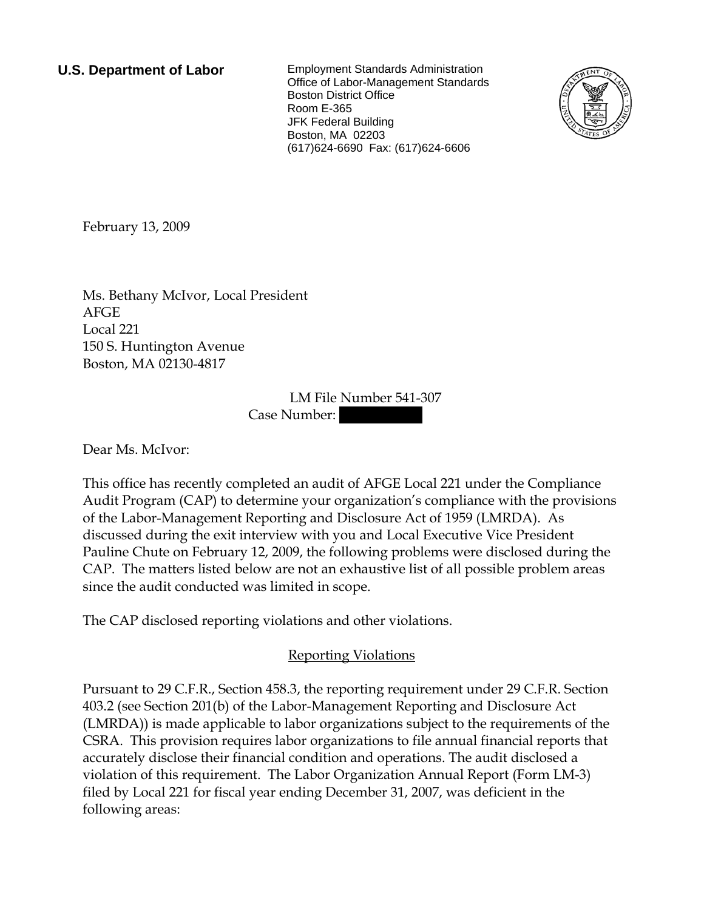**U.S. Department of Labor** Employment Standards Administration Office of Labor-Management Standards Boston District Office Room E-365 JFK Federal Building Boston, MA 02203 (617)624-6690 Fax: (617)624-6606



<span id="page-0-0"></span>February 13, 2009

[Ms.](#page-0-0) [Bethany](#page-0-0) [McIvor,](#page-0-0) [Local President](#page-0-0)  [AFGE](#page-0-0)  [Local 221](#page-0-0)  [150 S. Huntington Avenue](#page-0-0)  [Boston, MA 02130-4817](#page-0-0) 

> LM File Number [541-307](#page-0-0)  Case Number:

Dear [Ms.](#page-0-0) [McIvor:](#page-0-0)

This office has recently completed an audit of [AFGE Local 221](#page-0-0) under the Compliance Audit Program (CAP) to determine your organization's compliance with the provisions of the Labor-Management Reporting and Disclosure Act of 1959 (LMRDA). As discussed during the exit interview with you and Local Executive Vice President Pauline Chute on [February 12, 2009,](#page-0-0) the following problems were disclosed during the CAP. The matters listed below are not an exhaustive list of all possible problem areas since the audit conducted was limited in scope.

The CAP disclosed reporting violations and other violations.

## Reporting Violations

Pursuant to 29 C.F.R., Section 458.3, the reporting requirement under 29 C.F.R. Section 403.2 (see Section 201(b) of the Labor-Management Reporting and Disclosure Act (LMRDA)) is made applicable to labor organizations subject to the requirements of the CSRA. This provision requires labor organizations to file annual financial reports that accurately disclose their financial condition and operations. The audit disclosed a violation of this requirement. The Labor Organization Annual Report (Form LM-3) filed by Local 221 for fiscal year ending December 31, 2007, was deficient in the following areas: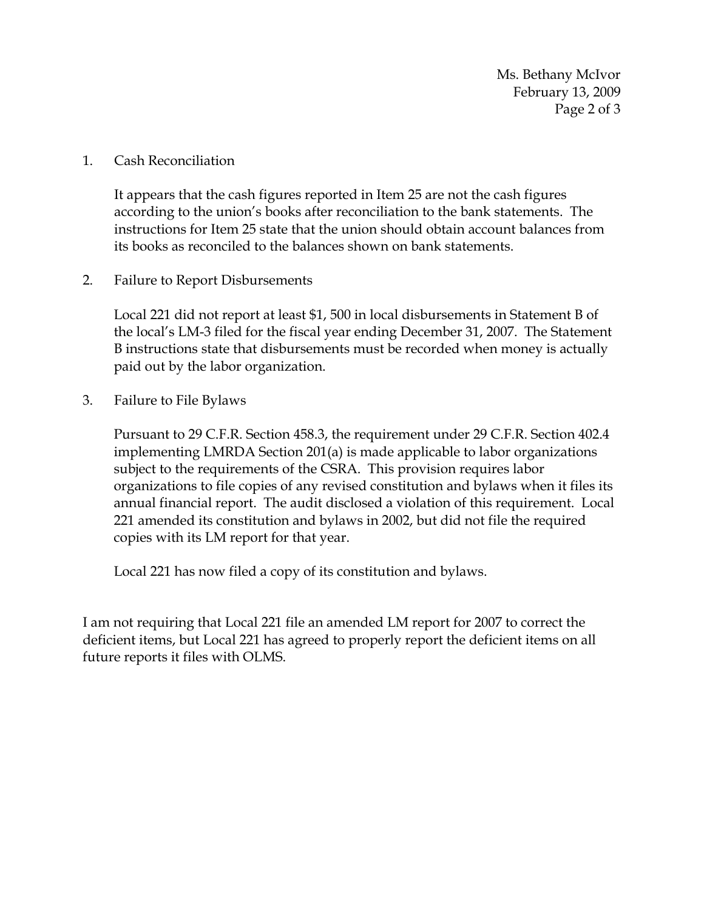Ms. Bethany McIvor February 13, 2009 Page 2 of 3

1. Cash Reconciliation

It appears that the cash figures reported in Item 25 are not the cash figures according to the union's books after reconciliation to the bank statements. The instructions for Item 25 state that the union should obtain account balances from its books as reconciled to the balances shown on bank statements.

2. Failure to Report Disbursements

Local 221 did not report at least \$1, 500 in local disbursements in Statement B of the local's LM-3 filed for the fiscal year ending December 31, 2007. The Statement B instructions state that disbursements must be recorded when money is actually paid out by the labor organization.

3. Failure to File Bylaws

Pursuant to 29 C.F.R. Section 458.3, the requirement under 29 C.F.R. Section 402.4 implementing LMRDA Section 201(a) is made applicable to labor organizations subject to the requirements of the CSRA. This provision requires labor organizations to file copies of any revised constitution and bylaws when it files its annual financial report. The audit disclosed a violation of this requirement. Local 221 amended its constitution and bylaws in 2002, but did not file the required copies with its LM report for that year.

Local 221 has now filed a copy of its constitution and bylaws.

I am not requiring that Local 221 file an amended LM report for 2007 to correct the deficient items, but Local 221 has agreed to properly report the deficient items on all future reports it files with OLMS.